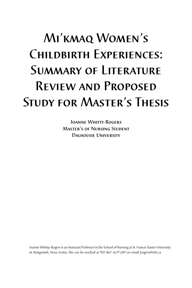# Mi'kmaq Women's CHILDBIRTH EXPERIENCES: Summary of Literature Review and Proposed Study for Master's Thesis

Joanne Whitty-Rogers Master's of Nursing Student Dalhousie University

Joanne Whitty-Rogers is an Assistant Professor in the School of Nursing at St. Francis Xavier University in Antigonish, Nova Scotia. She can be reached at 902-867-3629 (W) or email jrogers@stfx.ca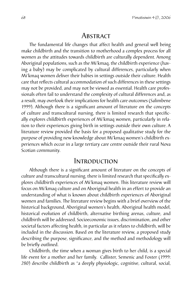## **ABSTRACT**

The fundamental life changes that affect health and general well being make childbirth and the transition to motherhood a complex process for all women as the attitudes towards childbirth are culturally dependent. Among Aboriginal populations, such as the Mi'kmaq, the childbirth experience (having a baby) may be complicated by cultural differences, particularly when Mi'kmaq women deliver their babies in settings outside their culture. Health care that reflects cultural accommodation of such differences in these settings may not be provided, and may not be viewed as essential. Health care professionals often fail to understand the complexity of cultural differences and, as a result, may overlook their implications for health care outcomes (Salimbene 1999). Although there is a significant amount of literature on the concepts of culture and transcultural nursing, there is limited research that specifically explores childbirth experiences of Mi'kmaq women, particularly in relation to their experiences giving birth in settings outside their own culture. A literature review provided the basis for a proposed qualitative study for the purpose of providing new knowledge about Mi'kmaq women's childbirth experiences which occur in a large tertiary care centre outside their rural Nova Scotian community.

### Introduction

Although there is a significant amount of literature on the concepts of culture and transcultural nursing, there is limited research that specifically explores childbirth experiences of Mi'kmaq women. This literature review will focus on Mi'kmaq culture and on Aboriginal health in an effort to provide an understanding of what is known about childbirth experiences of Aboriginal women and families. The literature review begins with a brief overview of the historical background, Aboriginal women's health, Aboriginal health model, historical evolution of childbirth, alternative birthing arenas, culture, and childbirth will be addressed. Socioeconomic issues, discrimination, and other societal factors affecting health, in particular as it relates to childbirth, will be included in the discussion. Based on the literature review, a proposed study describing the purpose, significance, and the method and methodology will be briefly outlined.

Childbirth, the time when a woman gives birth to her child, is a special life event for a mother and her family. Callister, Semenic and Foster (1999: 280) describe childbirth as "a deeply physiologic, cognitive, cultural, social,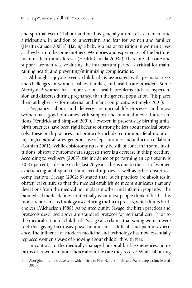and spiritual event." Labour and birth is generally a time of excitement and anticipation, in addition to uncertainty and fear for women and families (Health Canada 2003a). Having a baby is a major transition in women's lives as they learn to become mothers. Memories and experiences of the birth remain in their minds forever (Health Canada 2003a). Therefore, the care and support women receive during the intrapartum period is critical for maintaining health and preventing/minimizing complications.

Although a joyous event, childbirth is associated with perinatal risks and challenges for women, babies, families, and health care providers. Some Aboriginal<sup>1</sup> women have more serious health problems such as hypertension and diabetes during pregnancy, than the general population. This places them at higher risk for maternal and infant complications (Smylie 2001).

Pregnancy, labour, and delivery are normal life processes and most women have good outcomes with support and minimal medical interventions (Kendrick and Simpson 2001). However, in present-day birthing units, birth practices have been rigid because of strong beliefs about medical protocols. These birth practices and protocols include: continuous fetal monitoring, high epidural rates, generous use of episiotomies and induction of labour (Lothian 2001). While episiotomy rates may be still of concern in some institutions, obstetric outcome data suggests there is a decrease in this procedure. According to Wellbery (2005), the incidence of performing an episiotomy is 30-35 percent, a decline in the last 20 years. This is due to the risk of women experiencing anal sphincter and rectal injuries as well as other obstetrical complications. Savage (2002: 8) stated that "such practices are absolutes in obstetrical culture so that the medical establishment communicates that any deviations from the medical norm place mother and infant in jeopardy." The biomedical model defines contextually what most people think of birth. This model represents technology used during the birth process, which limits birth choices (Michaelson 1988). As pointed out by Savage, the birth practices and protocols described above are standard protocol for perinatal care. Prior to the medicalization of childbirth, Savage also claims that young women were told that giving birth was powerful and not a difficult and painful experience. The influence of modern medicine and technology has now essentially replaced women's ways of knowing about childbirth with fear.

In contrast to the medically managed hospital birth experiences, home births offer women more choice about the care they receive. While labouring

<sup>1</sup> Aboriginal — an inclusive term which refers to First Nations, Inuit, and Metis people (Smylie et al. 2000).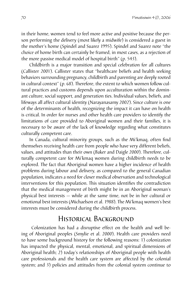in their home, women tend to feel more active and positive because the person performing the delivery (most likely a midwife) is considered a guest in the mother's home (Spindel and Suarez 1995). Spindel and Suarez note "the choice of home birth can certainly be framed, in most cases, as a rejection of the more passive medical model of hospital birth" (p. 543).

Childbirth is a major transition and special celebration for all cultures (Callister 2001). Callister states that "healthcare beliefs and health seeking behaviors surrounding pregnancy, childbirth and parenting are deeply rooted in cultural context" (p. 68). Therefore, the extent to which women follow cultural practices and customs depends upon acculturation within the dominant culture, social support, and generation ties. Individual values, beliefs, and lifeways all affect cultural identity (Narayanasamy 2002). Since culture is one of the determinants of health, recognizing the impact it can have on health is critical. In order for nurses and other health care providers to identify the limitations of care provided to Aboriginal women and their families, it is necessary to be aware of the lack of knowledge regarding what constitutes culturally competent care.

In Canada, cultural minority groups, such as the Mi'kmaq, often find themselves receiving health care from people who have very different beliefs, values, and attitudes than their own (Baker and Daigle 2000). Therefore, culturally competent care for Mi'kmaq women during childbirth needs to be explored. The fact that Aboriginal women have a higher incidence of health problems during labour and delivery, as compared to the general Canadian population, indicates a need for closer medical observation and technological interventions for this population. This situation identifies the contradiction that the medical management of birth might be in an Aboriginal woman's physical best interests — while at the same time, not be in her cultural or emotional best interests (Michaelson et al. 1988). The Mi'kmaq women's best interests must be considered during the childbirth process.

# Historical Background

Colonization has had a disruptive effect on the health and well being of Aboriginal peoples (Smylie et al. 2000). Health care providers need to have some background history for the following reasons: 1) colonization has impacted the physical, mental, emotional, and spiritual dimensions of Aboriginal health; 2) today's relationships of Aboriginal people with health care professionals and the health care system are affected by the colonial system; and 3) policies and attitudes from the colonial system continue to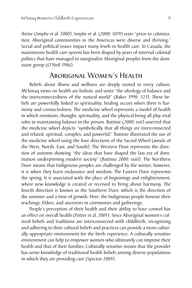thrive (Smylie et al. 2000). Smylie et al. (2000: 1074) state "prior to colonization, Aboriginal communities in the Americas were diverse and thriving." Social and political issues impact many levels in health care. In Canada, the mainstream health care system has been shaped by years of internal colonial politics that have managed to marginalize Aboriginal peoples from the dominant group (O'Neil 1986).

# Aboriginal Women's Health

Beliefs about illness and wellness are deeply rooted in every culture. Mi'kmaq views on health are holistic and unite "the ideology of balance and the interconnectedness of the natural world" (Baker 1998: 323). These beliefs are powerfully linked to spirituality; healing occurs when there is harmony and connectedness. The medicine wheel represents a model of health in which emotions, thought, spirituality, and the physical being all play vital roles in maintaining balance in the person. Battiste (2000: xxii) asserted that the medicine wheel depicts "symbolically that all things are interconnected and related, spiritual, complex, and powerful." Battiste illustrated the use of the medicine wheel using the four directions of the Sacred Wheel (winds of the West, North, East, and South). The Western Door represents the direction of autumn showing "the ideas that have shaped the last era of domination underpinning modern society" (Battiste 2000: xxiii). The Northern Door means that Indigenous peoples are challenged by the winter, however, it is when they learn endurance and wisdom. The Eastern Door represents the spring. It is associated with the place of beginnings and enlightenment, where new knowledge is created or received to bring about harmony. The fourth direction is known as the Southern Door, which is the direction of the summer and a time of growth. Here, the Indigenous people honour their teachings, Elders, and ancestors in ceremonies and gatherings.

People's perception of their health and their ability to have control has an effect on overall health (Potter et al. 2001). Since Aboriginal women's cultural beliefs and traditions are interconnected with childbirth, recognizing and adhering to their cultural beliefs and practices can provide a more culturally appropriate environment for the birth experience. A culturally sensitive environment can help to empower women who ultimately can improve their health and that of their families. Culturally sensitive means that the provider has some knowledge of traditional health beliefs among diverse populations in which they are providing care (Spector 2004).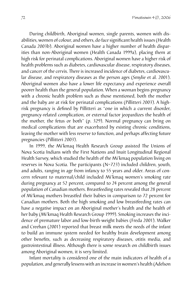During childbirth, Aboriginal women, single parents, women with disabilities, women of colour, and others, do face significant health issues (Health Canada 2003b). Aboriginal women have a higher number of health disparities than non-Aboriginal women (Health Canada 1999a), placing them at high risk for perinatal complications. Aboriginal women have a higher risk of health problems such as diabetes, cardiovascular disease, respiratory diseases, and cancer of the cervix. There is increased incidence of diabetes, cardiovascular disease, and respiratory diseases as the person ages (Smylie et al. 2001). Aboriginal women also have a lower life expectancy and experience overall poorer health than the general population. When a woman begins pregnancy with a chronic health problem such as those mentioned, both the mother and the baby are at risk for perinatal complications (Pillitteri 2003). A highrisk pregnancy is defined by Pillitteri as "one in which a current disorder, pregnancy-related complication, or external factor jeopardizes the health of the mother, the fetus or both" (p. 329). Normal pregnancy can bring on medical complications that are exacerbated by existing chronic conditions, leaving the mother with less reserve to function, and perhaps affecting future pregnancies (Pillitteri 2003).

In 1999, the Mi'kmaq Health Research Group assisted The Unions of Nova Scotia Indians with the First Nations and Inuit Longitudinal Regional Health Survey, which studied the health of the Mi'kmaq population living on reserves in Nova Scotia. The participants (N=723) included children, youth, and adults, ranging in age from infancy to 55 years and older. Areas of concern relevant to maternal/child included Mi'kmaq women's smoking rate during pregnancy at 52 percent, compared to 24 percent among the general population of Canadian mothers. Breastfeeding rates revealed that 28 percent of Mi'kmaq mothers breastfed their babies in comparison to 72 percent for Canadian mothers. Both the high smoking and low breastfeeding rates can have a negative impact on an Aboriginal mother's health and the health of her baby (Mi'kmaq Health Research Group 1999). Smoking increases the incidence of premature labor and low-birth-weight babies (Freda 2001). Walker and Creehan (2001) reported that breast milk meets the needs of the infant to build an immune system needed for healthy brain development among other benefits, such as decreasing respiratory diseases, otitis media, and gastrointestinal illness. Although there is some research on childbirth issues among Aboriginal women, it is very limited.

Infant mortality is considered one of the main indicators of health of a population, and generally lessens with an increase in women's health (Adelson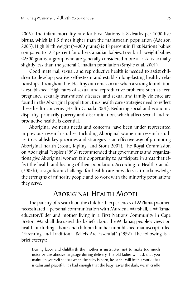2005). The infant mortality rate for First Nations is 8 deaths per 1000 live births, which is 1.5 times higher than the mainstream population (Adelson 2005). High birth weight (>4000 grams) is 18 percent in First Nations babies compared to 12.2 percent for other Canadian babies. Low-birth-weight babies <2500 grams, a group who are generally considered more at risk, is actually slightly less than the general Canadian population (Smylie et al. 2001).

Good maternal, sexual, and reproductive health is needed to assist children to develop positive self-esteem and establish long-lasting healthy relationships throughout life. Healthy outcomes occur when a strong foundation is established. High rates of sexual and reproductive problems such as teen pregnancy, sexually transmitted diseases, and sexual and family violence are found in the Aboriginal population; thus health care strategies need to reflect these health concerns (Health Canada 2001). Reducing social and economic disparity, primarily poverty and discrimination, which affect sexual and reproductive health, is essential.

Aboriginal women's needs and concerns have been under represented in previous research studies. Including Aboriginal women in research studies to establish key priorities and strategies is an effective way of promoting Aboriginal health (Stout, Kipling, and Stout 2001). The Royal Commission on Aboriginal Peoples (1996) recommended that governments and organizations give Aboriginal women fair opportunity to participate in areas that effect the health and healing of their population. According to Health Canada (2003b), a significant challenge for health care providers is to acknowledge the strengths of minority people and to work with the minority populations they serve.

# Aboriginal Health Model

The paucity of research on the childbirth experiences of Mi'kmaq women necessitated a personal communication with Murdena Marshall, a Mi'kmaq educator/Elder and mother living in a First Nations Community in Cape Breton. Marshall discussed the beliefs about the Mi'kmaq people's views on health, including labour and childbirth in her unpublished manuscript titled "Parenting and Traditional Beliefs Are Essential" (1992). The following is a brief excerpt:

During labor and childbirth the mother is instructed not to make too much noise or use abusive language during delivery. The old ladies will ask that you maintain yourself so that when the baby is born, he or she will be in a world that is calm and peaceful. It's bad enough that the baby leaves the dark, warm cradle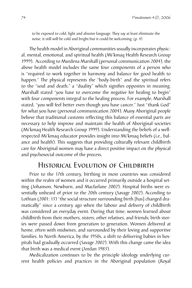to be exposed to cold, light and abusive language. They say at least eliminate the noise, it still will be cold and bright but it could be welcoming. (p. 4)

The health model in Aboriginal communities usually incorporates physical, mental, emotional, and spiritual health (Mi'kmaq Health Research Group 1999). According to Murdena Marshall (personal communication 2004), the above health model includes the same four components of a person who is "required to work together in harmony and balance for good health to happen." The physical represents the "body-birth" and the spiritual refers to the "soul and death," a "duality" which signifies opposites in meaning. Marshall stated "you have to overcome the negative for healing to begin" with four components integral to the healing process. For example, Marshall stated, "you will feel better even though you have cancer." Just "thank God" for what you have (personal communication 2004). Many Aboriginal people believe that traditional customs reflecting this balance of essential parts are necessary to help improve and maintain the health of Aboriginal societies (Mi'kmaq Health Research Group 1999). Understanding the beliefs of a wellrespected Mi'kmaq educator provides insight into Mi'kmaq beliefs (i.e., balance and health). This suggests that providing culturally relevant childbirth care for Aboriginal women may have a direct positive impact on the physical and psychosocial outcome of the process.

# HISTORICAL EVOLUTION OF CHILDBIRTH

Prior to the 17th century, birthing in most countries was considered within the realm of women and it occurred primarily outside a hospital setting (Johanson, Newburn, and Macfarlane 2002). Hospital births were essentially unheard of prior to the 20th century (Savage 2002). According to Lothian (2001: 13) "the social structure surrounding birth [has] changed dramatically" since a century ago when the labour and delivery of childbirth was considered an everyday event. During that time, women learned about childbirth from their mothers, sisters, other relatives, and friends; birth stories were passed down from generation to generation. Women delivered at home, often with midwives, and surrounded by their loving and supportive families. In North America, by the 1950s, a shift to delivering babies in hospitals had gradually occurred (Savage 2002). With this change came the idea that birth was a medical event (Jordan 1983).

Medicalization continues to be the principle ideology underlying current health policies and practices in the Aboriginal population (Royal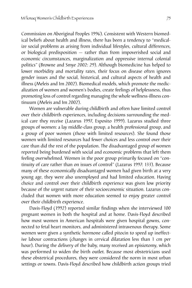Commission on Aboriginal Peoples 1996). Consistent with Western biomedical beliefs about health and illness, there has been a tendency to "medicalize social problems as arising from individual lifestyles, cultural differences, or biological predisposition — rather than from impoverished social and economic circumstances, marginalization and oppressive internal colonial politics" (Browne and Smye 2002: 29). Although biomedicine has helped to lower morbidity and mortality rates, their focus on disease often ignores gender issues and the social, historical, and cultural aspects of health and illness (Meleis and Im 2002). Biomedical models, which promote the medicalization of women and women's bodies, create feelings of helplessness, thus promoting loss of control regarding managing the whole wellness-illness continuum (Meleis and Im 2002).

Women are vulnerable during childbirth and often have limited control over their childbirth experiences, including decisions surrounding the medical care they receive (Lazarus 1997, Esposito 1999). Lazarus studied three groups of women: a lay middle-class group, a health professional group, and a group of poor women (those with limited resources). She found those women with limited resources had fewer choices and less control over their care than did the rest of the population. The disadvantaged group of women reported being burdened with social and economic problems that left them feeling overwhelmed. Women in the poor group primarily focused on "continuity of care rather than on issues of control" (Lazarus 1997: 133). Because many of these economically disadvantaged women had given birth at a very young age, they were also unemployed and had limited education. Having choice and control over their childbirth experience was given low priority because of the urgent nature of their socioeconomic situation. Lazarus concluded that women with more education seemed to enjoy greater control over their childbirth experience.

Davis-Floyd (1992) reported similar findings when she interviewed 100 pregnant women in both the hospital and at home. Davis-Floyd described how most women in American hospitals were given hospital gowns, connected to fetal heart monitors, and administered intravenous therapy. Some women were given a synthetic hormone called pitocin to speed up ineffective labour contractions (changes in cervical dilatation less than 1 cm per hour). During the delivery of the baby, many received an episiotomy, which was performed to widen the birth outlet. Because most obstetricians used these obstetrical procedures, they were considered the norm in most urban settings or towns. Davis-Floyd described how childbirth action groups tried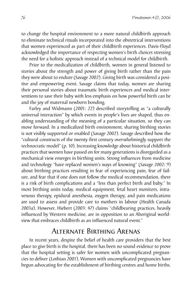to change the hospital environment to a more natural childbirth approach to eliminate technical rituals incorporated into the obstetrical interventions that women experienced as part of their childbirth experiences. Davis-Floyd acknowledged the importance of respecting women's birth choices stressing the need for a holistic approach instead of a technical model for childbirth.

Prior to the medicalization of childbirth, women in general listened to stories about the strength and power of giving birth rather than the pain they were about to endure (Savage 2002). Giving birth was considered a positive and empowering event. Savage claims that today, women are sharing their personal stories about traumatic birth experiences and medical interventions to save their baby with less emphasis on how powerful birth can be and the joy of maternal newborn bonding.

Farley and Widmann (2001: 22) described storytelling as "a culturally universal interaction" by which events in people's lives are shaped, thus enabling understanding of the meaning of a particular situation, so they can move forward. In a medicalized birth environment, sharing birthing stories is not visibly supported or enabled (Savage 2002). Savage described how the "cultural constructs of the twenty-first century overwhelmingly support the technocratic model" (p. 10). Increasing knowledge about historical childbirth practices that women have passed on for many generations is disregarded as a mechanical view emerges in birthing units. Strong influences from medicine and technology "have replaced women's ways of knowing" (Savage 2002: 9) about birthing practices resulting in fear of experiencing pain, fear of failure, and fear that if one does not follow the medical recommendation, there is a risk of birth complications and a "less than perfect birth and baby." In most birthing units today, medical equipment, fetal heart monitors, intravenous therapy, epidural anesthesia, oxygen therapy, and pain medications are used to assess and provide care to mothers in labour (Health Canada 2003a). However, Hiebert (2003: 47) claims "childbearing practices, heavily influenced by Western medicine, are in opposition to an Aboriginal worldview that embraces childbirth as an influenced natural event."

# Alternate Birthing Arenas

In recent years, despite the belief of health care providers that the best place to give birth is the hospital, there has been no sound evidence to prove that the hospital setting is safer for women with uncomplicated pregnancies to deliver (Lothian 2001). Women with uncomplicated pregnancies have begun advocating for the establishment of birthing centres and home births.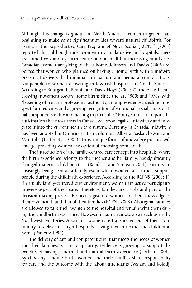Although this change is gradual in North America, women in general are beginning to make some significant strides toward natural childbirth. For example, the Reproductive Care Program of Nova Scotia (RCPNS) (2003) reported that, although most women in Canada deliver in hospitals, there are some free-standing birth centres and a small but increasing number of Canadian women are giving birth at home. Johnson and Daviss (2005) reported that women who planned on having a home birth with a midwife present at delivery, had minimal intrapartum and neonatal complications, comparable to women delivering in low-risk hospitals in North America. According to Bourgeault, Benoit, and Davis-Floyd (2004: 7), there has been a growing movement toward home births since the late 1960s and 1970s, with "lessening of trust in professional authority, an unprecedented decline in respect for medicine, and a growing recognition of emotional, social, and spiritual components of life and healing in particular." Bourgeault et al. report the anticipation that most areas in Canada will soon legalize midwifery and integrate it into the current health care system. Currently in Canada, midwifery has been adopted in Ontario, British Columbia, Alberta, Saskatchewan, and Manitoba (Potter et al. 2001). Thus, unique forms of midwifery practice will emerge, providing women the option of choosing home birth.

The introduction of the family-centred care concept into hospitals, where the birth experience belongs to the mother and her family, has significantly changed maternal-child practices (Kendrick and Simpson 2001). Birth is increasingly being seen as a family event where women select their support people during the childbirth experience. According to the RCPNS (2003: 1), "in a truly family-centered care environment, women are active participants in every aspect of their care." Therefore, families are visible and part of the decision-making process. Respect is given to women for their knowledge of their own health and that of their families (RCPNS 2003). Aboriginal families are allowed to take their women to the hospital and remain with them during the childbirth experience. However, in some remote areas such as in the Northwest Territories, Aboriginal women are transported out of their community to deliver in larger hospitals leaving their husband and children at home (Paulette 1990).

The delivery of safe and competent care, that meets the needs of women and their families, is a major priority. Evidence is growing to support the benefits of having a normal and natural birth experience (Lothian 2001). By choosing a home birth, women and their families share responsibility for care and the outcome with the labour attendants (Vedam and Kolodji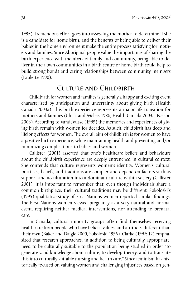1995). Tremendous effort goes into assessing the mother to determine if she is a candidate for home birth, and the benefits of being able to deliver their babies in the home environment make the entire process satisfying for mothers and families. Since Aboriginal people value the importance of sharing the birth experience with members of family and community, being able to deliver in their own communities in a birth centre or home birth could help to build strong bonds and caring relationships between community members (Paulette 1990).

# CULTURE AND CHILDBIRTH

Childbirth for women and families is generally a happy and exciting event characterized by anticipation and uncertainty about giving birth (Health Canada 2003a). This birth experience represents a major life transition for mothers and families (Chick and Meleis 1986, Health Canada 2003a, Nelson 2003). According to VandeVusse (1999) the memories and experiences of giving birth remain with women for decades. As such, childbirth has deep and lifelong effects for women. The overall aim of childbirth is for women to have a positive birth experience, while maintaining health and preventing and/or minimizing complications to babies and women.

Callister (2001) asserted that one's healthcare beliefs and behaviours about the childbirth experience are deeply entrenched in cultural context. She contends that culture represents women's identity. Women's cultural practices, beliefs, and traditions are complex and depend on factors such as support and acculturation into a dominant culture within society (Callister 2001). It is important to remember that, even though individuals share a common birthplace, their cultural traditions may be different. Sokoloski's (1995) qualitative study of First Nations women reported similar findings. The First Nations women viewed pregnancy as a very natural and normal event, requiring neither medical interventions, nor attending to prenatal care.

In Canada, cultural minority groups often find themselves receiving health care from people who have beliefs, values, and attitudes different than their own (Baker and Daigle 2000, Sokoloski 1995). Clarke (1997: 12) emphasized that research approaches, in addition to being culturally appropriate, need to be culturally suitable to the population being studied in order "to generate valid knowledge about culture, to develop theory, and to translate this into culturally suitable nursing and health care." Since feminism has historically focused on valuing women and challenging injustices based on gen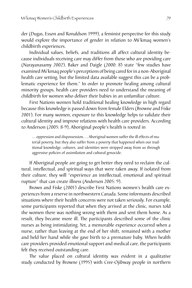der (Dugas, Esson and Ronaldson 1999), a feminist perspective for this study would explore the importance of gender in relation to Mi'kmaq women's childbirth experiences.

Individual values, beliefs, and traditions all affect cultural identity because individuals receiving care may differ from those who are providing care (Narayanasamy 2002). Baker and Daigle (2000: 8) state "few studies have examinedMi'kmaq people's perceptions of being cared forin a non-Aboriginal health care setting, but the limited data available suggest this can be a problematic experience for them." In order to promote healing among cultural minority groups, health care providers need to understand the meaning of childbirth for women who deliver their babies in an unfamiliar culture.

First Nations women hold traditional healing knowledge in high regard because this knowledge is passed down from female Elders (Browne and Fiske 2001). For many women, exposure to this knowledge helps to validate their cultural identity and improve relations with health care providers. According to Anderson (2005: 8-9), Aboriginal people's health is rooted in

... oppression and dispossession.... Aboriginal women suffer the ill effects of material poverty, but they also suffer from a poverty that happened when our traditional knowledge, cultures, and identities were stripped away from us through aggressive policies of assimilation and cultural genocide.

If Aboriginal people are going to get better they need to reclaim the cultural, intellectual, and spiritual ways that were taken away. If isolated from their culture, they will "experience an intellectual, emotional and spiritual rupture" that can create illness (Anderson 2005: 9).

Brown and Fiske (2001) describe First Nations women's health care experiences from a reserve in northwestern Canada. Some informants described situations where their health concerns were not taken seriously. For example, some participants reported that when they arrived at the clinic, nurses told the women there was nothing wrong with them and sent them home. As a result, they became more ill. The participants described some of the clinic nurses as being intimidating. Yet, a memorable experience occurred when a nurse, rather than leaving at the end of her shift, remained with a mother and held her hand while she gave birth to a premature baby. When health care providers provided emotional support and medical care, the participants felt they received outstanding care.

The value placed on cultural identity was evident in a qualitative study conducted by Browne (1995) with Cree-Ojibway people in northern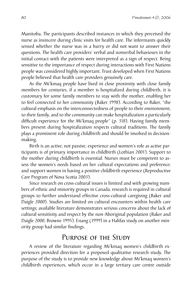Manitoba. The participants described instances in which they perceived the nurse as insincere during clinic visits for health care. The informants quickly sensed whether the nurse was in a hurry or did not want to answer their questions. The health care providers' verbal and nonverbal behaviours in the initial contact with the patients were interpreted as a sign of respect. Being sensitive to the importance of respect during interactions with First Nations people was considered highly important. Trust developed when First Nations people believed that health care providers genuinely care.

As the Mi'kmaq people have lived in close proximity with close family members for centuries, if a member is hospitalized during childbirth, it is customary for some family members to stay with the mother, enabling her to feel connected to her community (Baker 1998). According to Baker, "the cultural emphasis on the interconnectedness of people to their environment, to their family, and to the community can make hospitalization a particularly difficult experience for the Mi'kmaq people" (p. 318). Having family members present during hospitalization respects cultural traditions. The family plays a prominent role during childbirth and should be involved in decisionmaking.

Birth is an active, not passive, experience and women's role as active participants is of primary importance in childbirth (Lothian 2001). Support to the mother during childbirth is essential. Nurses must be competent to assess the women's needs based on her cultural expectations and preference; and support women in having a positive childbirth experience (Reproductive Care Program of Nova Scotia 2003).

Since research on cross-cultural issues is limited and with growing numbers of ethnic and minority groups in Canada, research is required in cultural groups to further understand effective cross-cultural caregiving (Baker and Daigle 2000). Studies are limited on cultural encounters within health care settings; available literature demonstrates serious concerns about the lack of cultural sensitivity and respect by the non-Aboriginal population (Baker and Daigle 2000, Browne 1995). Enang (1999) in a Halifax study on another minority group had similar findings.

## Purpose of the Study

A review of the literature regarding Mi'kmaq women's childbirth experiences provided direction for a proposed qualitative research study. The purpose of the study is to provide new knowledge about Mi'kmaq women's childbirth experiences, which occur in a large tertiary care centre outside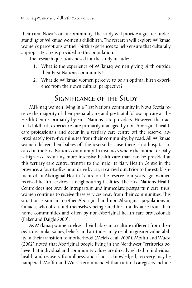their rural Nova Scotian community. The study will provide a greater understanding of Mi'kmaq women's childbirth. The research will explore Mi'kmaq women's perceptions of their birth experiences to help ensure that culturally appropriate care is provided to this population.

The research questions posed for the study include:

- What is the experience of Mi'kmaq women giving birth outside 1. their First Nations community?
- What do Mi'kmaq women perceive to be an optimal birth experi-2.ence from their own cultural perspective?

# SIGNIFICANCE OF THE STUDY

Mi'kmaq women living in a First Nations community in Nova Scotia receive the majority of their prenatal care and postnatal follow-up care at the Health Centre, primarily by First Nations care providers. However, their actual childbirth experiences are primarily managed by non-Aboriginal health care professionals and occur in a tertiary care centre off the reserve, approximately forty-five minutes from their community, by road. All Mi'kmaq women deliver their babies off the reserve because there is no hospital located in the First Nations community. In instances where the mother or baby is high-risk, requiring more intensive health care than can be provided at this tertiary care centre, transfer to the major tertiary Health Centre in the province, a four-to-five hour drive by car, is carried out. Prior to the establishment of an Aboriginal Health Centre on the reserve four years ago, women received health services at neighbouring facilities. The First Nations Health Centre does not provide intrapartum and immediate postpartum care, thus, women continue to receive these services away from their communities. This situation is similar to other Aboriginal and non-Aboriginal populations in Canada, who often find themselves being cared for at a distance from their home communities and often by non-Aboriginal health care professionals (Baker and Daigle 2000).

As Mi'kmaq women deliver their babies in a culture different from their own, dissimilar values, beliefs, and attitudes, may result in greater vulnerability in their transition to motherhood (Meleis et al. 2000). Moffitt and Wuest (2002) noted that Aboriginal people living in the Northwest Territories believe that individual and community values are directly related to individual health and recovery from illness, and if not acknowledged, recovery may be hampered. Moffitt and Wuest recommended that cultural caregivers include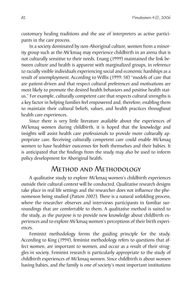customary healing traditions and the use of interpreters as active participants in the care process.

In a society dominated by non-Aboriginal culture, women from a minority group such as the Mi'kmaq may experience childbirth in an arena that is not culturally sensitive to their needs. Enang (1999) maintained the link between culture and health is apparent with marginalized groups, in reference to racially visible individuals experiencing social and economic hardships as a result of unemployment. According to Willis (1999: 58) "models of care that are patient-driven and that respect cultural preferences and motivations are most likely to promote the desired health behaviors and positive health status." For example, culturally competent care that respects cultural strengths is a key factor in helping families feel empowered and, therefore, enabling them to maintain their cultural beliefs, values, and health practices throughout health care experiences.

Since there is very little literature available about the experiences of Mi'kmaq women during childbirth, it is hoped that the knowledge and insights will assist health care professionals to provide more culturally appropriate care. Receiving culturally competent care could enable Mi'kmaq women to have healthier outcomes for both themselves and their babies. It is anticipated that the findings from the study may also be used to inform policy development for Aboriginal health.

# Method and Methodology

A qualitative study to explore Mi'kmaq women's childbirth experiences outside their cultural context will be conducted. Qualitative research designs take place in real life settings and the researcher does not influence the phenomenon being studied (Patton 2002). There is a natural unfolding process, where the researcher observes and interviews participants in familiar surroundings that are comfortable to them. A qualitative method is suited to the study, as the purpose is to provide new knowledge about childbirth experiences and to explore Mi'kmaq women's perceptions of their birth experiences.

Feminist methodology forms the guiding principle for the study. According to King (1994), feminist methodology refers to questions that affect women, are important to women, and occur as a result of their struggles in society. Feminist research is particularly appropriate to the study of childbirth experiences of Mi'kmaq women. Since childbirth is about women having babies, and the family is one of society's most important institutions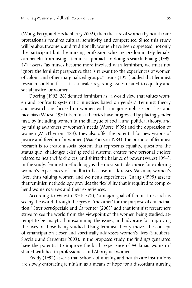(Wong, Perry, and Hockenberry 2002), then the care of women by health care professionals requires cultural sensitivity and competence. Since this study will be about women, and traditionally women have been oppressed, not only the participant but the nursing profession who are predominately female, can benefit from using a feminist approach to doing research. Enang (1999: 47) asserts "as nurses become more involved with feminism, we must not ignore the feminist perspective that is relevant to the experiences of women of colour and other marginalized groups." Evans (1993) added that feminist research could in fact act as a healer regarding issues related to equality and social justice for women.

Doering (1992: 26) defined feminism as "a world view that values women and confronts systematic injustices based on gender." Feminist theory and research are focused on women with a major emphasis on class and race bias (Wuest, 1994). Feminist theories have progressed by placing gender first, by including women in the dialogue of social and political theory, and by raising awareness of women's needs (Morse 1995) and the oppression of women (MacPherson 1983). They also offer the potential for new visions of justice and freedom for women (MacPherson 1983). The purpose of feminist research is to create a social system that represents equality, questions the status quo, challenges existing social systems, creates new personal choices related to health/life choices, and shifts the balance of power (Wuest 1994). In the study, feminist methodology is the most suitable choice for exploring women's experiences of childbirth because it addresses Mi'kmaq women's lives, thus valuing women and women's experiences. Enang (1999) asserts that feminist methodology provides the flexibility that is required to comprehend women's views and their experiences.

According to Wuest (1994: 578), "a major goal of feminist research is seeing the world through the eyes of 'the other' for the purpose of emancipation." Streubert-Speziale and Carpenter (2003) add that feminist researchers strive to see the world from the viewpoint of the women being studied, attempt to be analytical in examining the issues, and advocate for improving the lives of those being studied. Using feminist theory moves the concept of emancipation closer and specifically addresses women's lives (Streubert-Speziale and Carpenter 2003). In the proposed study, the findings generated have the potential to improve the birth experience of Mi'kmaq women if shared with health professionals and Aboriginal women.

Keddy (1992) asserts that schools of nursing and health care institutions are slowly embracing feminism as a means of hope for a discordant nursing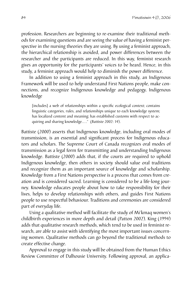profession. Researchers are beginning to re-examine their traditional methods for examining questions and are seeing the value of having a feminist perspective in the nursing theories they are using. By using a feminist approach, the hierarchical relationship is avoided, and power differences between the researcher and the participants are reduced. In this way, feminist research gives an opportunity for the participants' voices to be heard. Hence, in this study, a feminist approach would help to diminish the power difference.

In addition to using a feminist approach in this study, an Indigenous Framework will be used to help understand First Nations people, make connections, and recognize Indigenous knowledge and pedagogy. Indigenous knowledge

[includes] a web of relationships within a specific ecological context; contains linguistic categories, rules, and relationships unique to each knowledge system; has localized content and meaning; has established customs with respect to acquiring and sharing knowledge...." (Battiste 2002: 14).

Battiste (2000) asserts that Indigenous knowledge, including oral modes of transmission, is an essential and significant process for Indigenous educators and scholars. The Supreme Court of Canada recognizes oral modes of transmission as a legal form for transmitting and understanding Indigenous knowledge. Battiste (2000) adds that, if the courts are required to uphold Indigenous knowledge, then others in society should value oral traditions and recognize them as an important source of knowledge and scholarship. Knowledge from a First Nations perspective is a process that comes from creation and is considered sacred. Learning is considered to be a life-long journey. Knowledge educates people about how to take responsibility for their lives, helps to develop relationships with others, and guides First Nations people to use respectful behaviour. Traditions and ceremonies are considered part of everyday life.

Using a qualitative method will facilitate the study of Mi'kmaq women's childbirth experiences in more depth and detail (Patton 2002). King (1994) adds that qualitative research methods, which tend to be used in feminist research, are able to assist with identifying the most important issues concerning women. Qualitative methods can go beyond the traditional methods to create effective change.

Approval to engage in this study will be obtained from the Human Ethics Review Committee of Dalhousie University. Following approval, an applica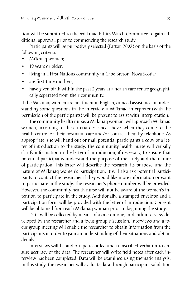tion will be submitted to the Mi'kmaq Ethics Watch Committee to gain additional approval, prior to commencing the research study.

Participants will be purposively selected (Patton 2002) on the basis of the following criteria:

- Mi'kmaq women; •
- 19 years or older; •
- living in a First Nations community in Cape Breton, Nova Scotia; •
- are first-time mothers; •
- have given birth within the past 2 years at a health care centre geographically separated from their community. •

If the Mi'kmaq women are not fluent in English, or need assistance in understanding some questions in the interview, a Mi'kmaq interpreter (with the permission of the participants) will be present to assist with interpretation.

The community health nurse, a Mi'kmaq woman, will approach Mi'kmaq women, according to the criteria described above, when they come to the health centre for their postnatal care and/or contact them by telephone. As appropriate, she will hand out or mail potential participants a copy of a letter of introduction to the study. The community health nurse will verbally clarify information in the letter of introduction, if necessary, to ensure that potential participants understand the purpose of the study and the nature of participation. This letter will describe the research, its purpose, and the nature of Mi'kmaq women's participation. It will also ask potential participants to contact the researcher if they would like more information or want to participate in the study. The researcher's phone number will be provided. However, the community health nurse will not be aware of the women's intention to participate in the study. Additionally, a stamped envelope and a participation form will be provided with the letter of introduction. Consent will be obtained from each Mi'kmaq woman prior to beginning the study.

Data will be collected by means of a one-on-one, in-depth interview developed by the researcher and a focus group discussion. Interviews and a focus group meeting will enable the researcher to obtain information from the participants in order to gain an understanding of their situations and obtain details.

Interviews will be audio-tape recorded and transcribed verbatim to ensure accuracy of the data. The researcher will write field notes after each interview has been completed. Data will be examined using thematic analysis. In this study, the researcher will evaluate data through participant validation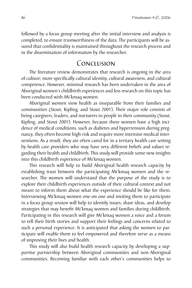followed by a focus group meeting after the initial interview and analysis is completed, to ensure trustworthiness of the data. The participants will be assured that confidentiality is maintained throughout the research process and in the dissemination of information by the researcher.

### Conclusion

The literature review demonstrates that research is ongoing in the area of culture; more specifically cultural identity, cultural awareness, and cultural competence. However, minimal research has been undertaken in the area of Aboriginal women's childbirth experiences and less research on this topic has been conducted with Mi'kmaq women.

Aboriginal women view health as inseparable from their families and communities (Stout, Kipling, and Stout 2001). Their major role consists of being caregivers, leaders, and nurturers to people in their community (Stout, Kipling, and Stout 2001). However, because these women have a high incidence of medical conditions, such as diabetes and hypertension during pregnancy, they often become high-risk and require more intensive medical interventions. As a result, they are often cared for in a tertiary health care setting by health care providers who may have very different beliefs and values regarding their health and childbirth. This study will provide some new insights into this childbirth experience of Mi'kmaq women.

This research will help to build Aboriginal health research capacity by establishing trust between the participating Mi'kmaq women and the researcher. The women will understand that the purpose of the study is to explore their childbirth experiences outside of their cultural context and not meant to inform them about what the experience should be like for them. Interviewing Mi'kmaq women one-on one and inviting them to participate in a focus group session will help to identify issues, share ideas, and develop strategies that may benefit Mi'kmaq women and families during childbirth. Participating in this research will give Mi'kmaq women a voice and a forum to tell their birth stories and support their feelings and concerns related to such a personal experience. It is anticipated that asking the women to participate will enable them to feel empowered and therefore serve as a means of improving their lives and health.

This study will also build health research capacity by developing a supportive partnership between Aboriginal communities and non-Aboriginal communities. Becoming familiar with each other's communities helps to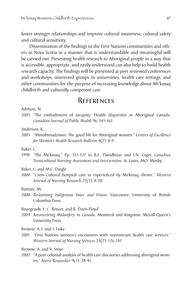foster stronger relationships and improve cultural awareness, cultural safety and cultural sensitivity.

Dissemination of the findings to the First Nations communities and others in Nova Scotia in a manner that is understandable and meaningful will be carried out. Presenting health research to Aboriginal people in a way that is accessible, appropriate, and easily understood can also help to build health research capacity. The findings will be presented at peer reviewed conferences and workshops, interested groups in universities, health care settings, and other communities for the purpose of increasing knowledge about Mi'kmaq childbirth and culturally competent care.

# **REFERENCES**

Adelson, N.

2005 "The embodiment of inequity: Health disparities in Aboriginal Canada. *Canadian Journal of Public Health* 96: S45-S61.

Anderson, K.,

2005 "Minobimadziwin: The good life for Aboriginal women." *Centers of Excellence for Women's Health Research Bulletin* 4(2): 8-9.

Baker, C.

- 1998 "The Mi'kmaq." Pp. 313-327 in R.E. Davidhizar and J.N. Giger, *Canadian Transcultural Nursing: Assessment and Intervention*. St. Louis, MO: Mosby.
- Baker, C. and M.C. Daigle
- 2000 "Cross-Cultural hospital care as experienced by Mi'kmaq clients." *Western Journal of Nursing Research* 22(1): 8-28.

#### Battiste, M.

2000 *Reclaiming Indigenous Voice and Vision*. Vancouver: University of British Columbia Press.

Bourgeault, I., C. Benoit, and R. Davis-Floyd

2004 *Reconceiving Midwifery in Canada*. Montreal and Kingston: McGill-Queen's University Press.

Browne, A.J. and J. Fiske

2001 "First Nations women's encounters with mainstream health care services." *Western Journal of Nursing Services* 23(2): 126-147.

Browne, A. and V. Smye

2002 "A post-colonial analysis of health care discourses addressing aboriginal women." *Nurse Researcher* 9(3): 28-41.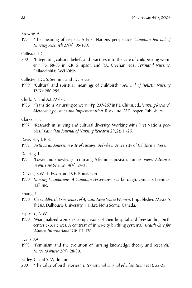Browne, A.J.

1995 "The meaning of respect: A First Nations perspective. *Canadian Journal of Nursing Research* 27(4): 95-109.

Callister, L.C.

2001 "Integrating cultural beliefs and practices into the care of childbearing women." Pp. 68-93 in K.R. Simpson and P.A. Creehan, eds., *Perinatal Nursing*. Philadelphia: AWHONN.

Callister, L.C., S. Seminic and J.C. Foster

- 1999 "Cultural and spiritual meanings of childbirth." *Journal of Holistic Nursing* 17(3): 280-295.
- Chick, N. and A.I. Meleis
- 1986 *"Transitions: Anursing concern." Pp. 237-257* in P.L. Chinn, ed., Nursing Research *Methodology: Issues and Implementation*. Rockland, MD: Aspen Publishers.

Clarke, H.F.

1997 "Research in nursing and cultural diversity: Working with First Nations peoples." *Canadian Journal of Nursing Research* 29(2): 11-25.

Davis-Floyd, R.B.

1992 *Birth as an American Rite of Passage.* Berkeley: University of California Press.

Doering, L.

1992 "Power and knowledge in nursing: A feminist poststructuralist view." *Advances in Nursing Science* 14(4): 24-33.

Du Gas, B.W., L. Esson, and S.E. Ronaldson

1999 Nursing Foundations, A Canadian Perspective. Scarborough, Ontario: Prentice-Hall Inc.

#### Enang, J.

1999 *The Childbirth Experiences of African Nova Scotia Women*. Unpublished Master's Thesis, Dalhousie University, Halifax, Nova Scotia, Canada.

Esposito, N.W.

1999 *"Marginalized women's comparisons of their hospital and freestanding birth* center experiences: A contrast of inner-city birthing systems." *Health Care for Women International* 20: 111-126.

Evans, J.A.

1993 "Feminism and the evolution of nursing knowledge, theory and research." *Nurse to Nurse* 2(4): 28-30.

Farley, C. and S. Widmann

2001 "The value of birth stories." *International Journal of Education* 16(3): 22-25.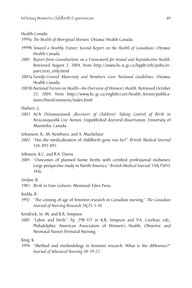Health Canada

1999a *The Health of Aboriginal Women*. Ottawa: Health Canada.

- 1999b *Toward a Healthy Future: Second Report on the Health of Canadians*. Ottawa: Health Canada.
- 2001 Report from Consultations on a Framework for Sexual and Reproductive Health. Retrieved August 2, 2004, from http://www.hc.sc.gc.ca/hppb/srh/pubs/report/text\_only.html
- 2003a *Family-Centred Maternity and Newborn Care: National Guidelines*. Ottawa: Health Canada.
- 2003b National Forum on Health-An Overview of Women's Health. Retrieved October 22, 2004, from http://www.hc-gc.ca/english/care/health\_forum/publications/finvol/womens/index.html

Hiebert, S.

2003 *NCN Otinawasuwuk (Receivers of Children): Taking Control of Birth in Nisicawayasihk Cree Nation.* Unpublished doctoral dissertation, University of Manitoba, Canada.

Johanson, R., M. Newburn, and A. Macfarlane

2002 "Has the medicalization of childbirth gone too far?" *British Medical Journal* 324: 892-895.

Johnson, K.C. and B.A. Daviss

2005 "Outcomes of planned home births with certified professional midwives: Large prospective study in North America." *British Medical Journal* 330(7505): 1416-

Jordan, B.

1983 *Birth in Four Cultures.* Montreal: Eden Press.

Keddy, B.

1992 "The coming of age of feminist research in Canadian nursing." *The Canadian Journal of Nursing Research* 24(2): 5-10.

Kendrick, Jo. M. and K.R. Simpson

2001 "Labor and birth." Pp. 298-377 in K.R. Simpson and P.A. Creehan, eds., Philadelphia: American Association of Women's Health, Obstetric and Neonatal Nurses Perinatal Nursing.

King, K.

1994 "Method and methodology in feminist research: What is the difference?" *Journal of Advanced Nursing* 20: 19-22.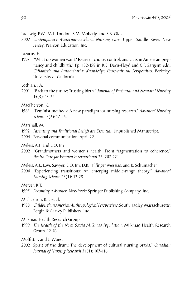Ladewig, P.W., M.L. London, S.M. Moberly, and S.B. Olds

2002 Contemporary Maternal-newborn Nursing Care. Upper Saddle River, New Jersey: Pearson Education, Inc.

Lazarus, E.

1997 "What do women want? Issues of choice, control, and class in American pregnancy and childbirth." Pp. 132-158 in R.E. Davis-Floyd and C.F. Sargent, eds., *Childbirth and Authoritative Knowledge: Cross-cultural Perspectives*. Berkeley: University of California.

Lothian, J.A.

2001 "Back to the future: Trusting birth." *Journal of Perinatal and Neonatal Nursing* 15(3): 13-22.

MacPherson, K.

1983 "Feminist methods: A new paradigm for nursing research." *Advanced Nursing Science* 5(2): 17-25.

Marshall, M.

- 1992 *Parenting and Traditional Beliefs are Essential*. Unpublished Manuscript.
- 2004 Personal communication, April 22.
- Meleis, A.F. and E.O. Im
- 2002 "Grandmothers and women's health: From fragmentation to coherence." *Health Care for Women International* 23: 207-224.
- Meleis, A.I., L.M. Sawyer, E.O. Im, D.K. Hilfinger Messias, and K. Schumacher
- 2000 "Experiencing transitions: An emerging middle-range theory." *Advanced Nursing Science* 23(1): 12-28.

Mercer, R.T.

1995 *Becoming a Mother*. New York: Springer Publishing Company, Inc.

- Michaelson, K.L. et al.
- 1988 Childbirth in America: Anthropological Perspectives. South Hadley, Massachusetts: Bergin & Garvey Publishers, Inc.

Mi'kmaq Health Research Group

1999 *The Health of the Nova Scotia Mi'kmaq Population*. Mi'kmaq Health Research Group, 12-76.

Moffitt, P. and J. Wuest

2002 Spirit of the drum: The development of cultural nursing praxis." *Canadian Journal of Nursing Research* 34(4): 107-116.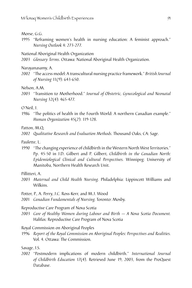#### Morse, G.G.

1995 "Reframing women's health in nursing education: A feminist approach." *Nursing Outlook* 4: 273-277.

National Aboriginal Health Organization

2003 *Glossary Terms*. Ottawa: National Aboriginal Health Organization.

Narayanasamy, A.

2002 "The access model: A transcultural nursing practice framework." *British Journal of Nursing* 11(9): 643-650.

Nelson, A.M.

2003 "Transition to Motherhood." *Journal of Obstetric, Gynecological and Neonatal Nursing* 32(4): 465-477.

O'Neil, J.

1986 "The politics of health in the Fourth World: A northern Canadian example." *Human Organization* 45(2): 119-128.

Patton, M.Q.

2002 *Qualitative Research and Evaluation Methods*. Thousand Oaks, CA: Sage.

Paulette, L.

1990 "The changing experience of childbirth in the Western North West Territories." Pp. 45-50 in J.D. Gilbert and P. Gilbert, *Childbirth in the Canadian North: Epidemiological Clinical and Cultural Perspectives.* Winnipeg: University of Manitoba, Northern Health Research Unit.

Pillitteri, A.

2003 *Maternal and Child Health Nursing*. Philadelphia: Lippincott Williams and Wilkins.

Potter, P., A. Perry, J.C. Ross-Kerr, and M.J. Wood

2001 *Canadian Fundamentals of Nursing.* Toronto: Mosby.

Reproductive Care Program of Nova Scotia

2003 *Care of Healthy Women during Labour and Birth — A Nova Scotia Document.*  Halifax: Reproductive Care Program of Nova Scotia

Royal Commission on Aboriginal Peoples

1996 Report of the Royal Commission on Aboriginal Peoples: Perspectives and Realities. Vol. 4. Ottawa: The Commission.

Savage, J.S.

2002 "Postmodern implications of modern childbirth." *International Journal of Childbirth Education* 17(4). Retrieved June 19, 2003, from the ProQuest Database.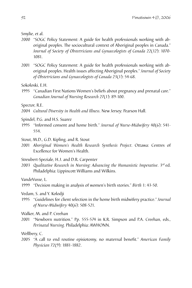Smylie, et al.

- 2000 "SOGC Policy Statement: A guide for health professionals working with aboriginal peoples. The sociocultural context of Aboriginal peoples in Canada." *Journal of Society of Obstetricians and Gynaecologists of Canada* 22(12): 1070- 1081.
- 2001 "SOGC Policy Statement: A guide for health professionals working with aboriginal peoples. Health issues affecting Aboriginal peoples." *Journal of Society of Obstetricians and Gynaecologists of Canada* 23(1): 54-68.

Sokoloski, E.H.

1995 "Canadian First Nations Women's beliefs about pregnancy and prenatal care." *Canadian Journal of Nursing Research* 27(1): 89-100.

Spector, R.E.

- 2004 *Cultural Diversity in Health and Illness*. New Jersey: Pearson Hall.
- Spindel, P.G. and H.S. Suarez
- 1995 "Informed consent and home birth." *Journal of Nurse-Midwifery* 40(6): 541- 554.
- Stout, M.D., G.D. Kipling, and R. Stout
- 2001 *Aboriginal Women's Health Research Synthesis Project*. Ottawa: Centres of Excellence for Women's Health.

Streubert-Speziale, H.J. and D.R. Carpenter

2003 *Qualitative Research in Nursing: Advancing the Humanistic Imperative*. 3rd ed. Philadelphia: Lippincott Williams and Wilkins.

VandeVusse, L.

1999 "Decision making in analysis of women's birth stories." *Birth* 1: 43-50.

Vedam, S. and Y. Kolodji

1995 "Guidelines for client selection in the home birth midwifery practice." *Journal of Nurse-Midwifery* 40(6): 508-521.

Walker, M. and P. Creehan

2001 "Newborn nutrition." Pp. 555-574 in K.R. Simpson and P.A. Creehan, eds., *Perinatal Nursing.* Philadelphia: AWHONN.

Wellbery, C.

2005 "A call to end routine episiotomy, no maternal benefit." *American Family Physician* 72(9): 1881-1882.